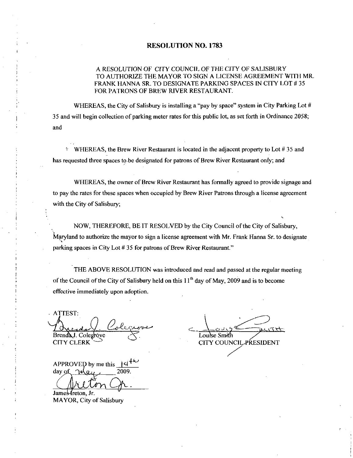#### RESOLUTION NO. 1783

#### A RESOLUTION OF CITY COUNCIL OF THE CITYOF SALISBURY TO AUTHORIZE THE MAYOR TO SIGN A LICENSE AGREEMENT WITH MR FRANK HANNA SR. TO DESIGNATE PARKING SPACES IN CITY LOT #35 FOR PATRONS OF BREW RIVER RESTAURANT

WHEREAS, the City of Salisbury is installing a "pay by space" system in City Parking Lot 35 and will begin collection of parking meter rates for this public lot, as set forth in Ordinance 2058; and

 $\gamma$  WHEREAS, the Brew River Restaurant is located in the adjacent property to Lot #35 and has requested three spaces to be designated for patrons of Brew River Restaurant only; and

WHEREAS, the owner of Brew River Restaurant has formally agreed to provide signage and to pay the rates for these spaces when occupied by Brew River Patrons through a license agreement with the City of Salisbury;

NOW, THEREFORE, BE IT RESOLVED by the City Council of the City of Salisbury, Maryland to authorize the mayor to sign a license agreement with Mr. Frank Hanna Sr. to designate parking spaces in City Lot #35 for patrons of Brew River Restaurant."

THE ABOVE RESOLUTION was introduced and read and passed at the regular meeting of the Council of the City of Salisbury held on this  $11<sup>th</sup>$  day of May, 2009 and is to become effective immediately upon adoption

ATTEST *I* Oxecrda Y<br>Brenda J. Colegróve<br>CITY CLERK ATTEST:<br>
Audal Colegrove<br>
Brenda J. Colegrove<br>
CITY CLERK<br>
APPROVED by me this 14<sup>th</sup><br>
day of May 2009.

 $day of  $May$  2009.$ 

James *I*reton, Jr. MAYOR, City of Salisbury

.ouise Smrth **CITY COUNCIL PRESIDENT**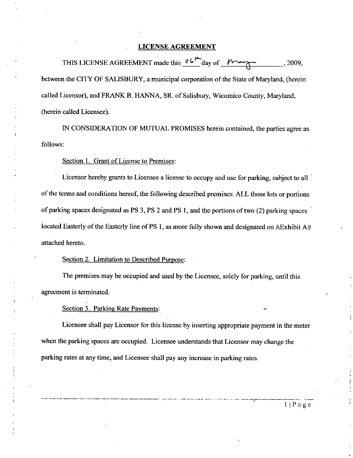#### LICENSE AGREEMENT

THIS LICENSE AGREEMENT made this 26 ENT<br>day of  $\begin{matrix} \overbrace{\hspace{2cm}} 2009 \end{matrix}$ <br>ation of the State of Maryland, (here between the CITY OF SALISBURY, a municipal corporation of the State of Maryland, (herein called Licensor), and FRANK B. HANNA, SR. of Salisbury, Wicomico County, Maryland, (herein called Licensee).

IN CONSIDERATION OF MUTUAL PROMISES herein contained, the parties agree as follows

Section 1. Grant of License to Premises:

Licensor hereby grants to Licensee a license to occupy and use for parking, subject to all of the terms and conditions hereof, the following described premises: ALL those lots or portions of parking spaces designated as PS 3, PS 2 and PS 1, and the portions of two  $(2)$  parking spaces located Easterly of the Easterly line of PS 1, as more fully shown and designated on AExhibit A@ attached hereto

Section 2. Limitation to Described Purpose:

The premises may be occupied and used by the Licensee, solely for parking, until this agreement is terminated

Section 3. Parking Rate Payments:

Licensee shall pay Licensor for this license by inserting appropriate payment in the meter when the parking spaces are occupied. Licensee understands that Licensor may change the parking rates at any time, and Licensee shall pay any increase in parking rates.

I Page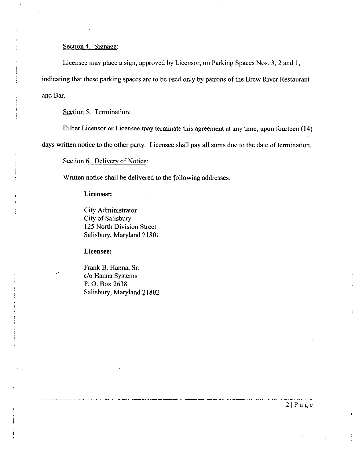#### Section 4. Signage:

Licensee may place a sign, approved by Licensor, on Parking Spaces Nos. 3, 2 and 1, indicating that these parking spaces are to be used only by patrons of the Brew River Restaurant and Bar

Section 5. Termination:

Either Licensor or Licensee may terminate this agreement at any time, upon fourteen (14)

days written notice to the other party. Licensee shall pay all sums due to the date of termination.

Section 6. Delivery of Notice:

Written notice shall be delivered to the following addresses

#### Licensor

i

i

City Administrator City of Salisbury 125 North Division Street Salisbury, Maryland 21801

Licensee

Frank B. Hanna, Sr. c/o Hanna Systems P.O. Box 2638 Salisbury, Maryland 21802

 $2|P$ age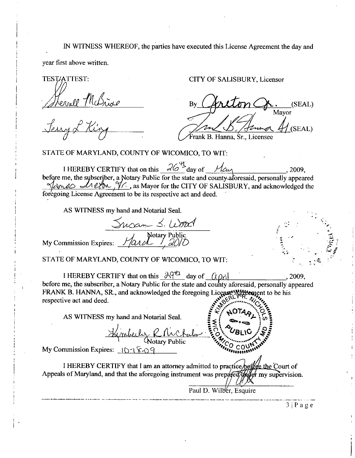## IN WITNESS WHEREOF, the parties have executed this License Agreement the day and

yeaz first above written

TEST/ATTEST: Sternell McBride

CITY OF SALISBURY, Licensor

By (SEAL) Mayor Frank B. Hanna, Sr., Licensee

STATE OF MARYLAND, COUNTY OF WICOMICO, TO WIT:

 $\sqrt{2}M\sqrt{N}$  (SEAL)<br>
STATE OF MARYLAND, COUNTY OF WICOMICO, TO WIT:<br>
I HEREBY CERTIFY that on this  $\frac{26^{\frac{14}{3}}}{9}$  day of  $\frac{1}{\alpha}$  2009,<br>
before me, the subscriber, a Notary Public for the state and county aforesai  $b$  and  $c$  of  $c$  or  $\gamma$   $\gamma$  as Mayor for the CITY OF SALISBURY, and acknowledged the foregoing License Agreement to be its respective act and deed AS WITNESS my hand and Notarial Seal.<br>AS WITNESS my hand and Notarial Seal. Fran<br>F WICOMICO,<br>s  $\frac{264}{100}$  day o<br>ic for the state are<br>or for the CITY (spective act and<br>urial Seal.<br> $\frac{2000}{100}$ <br>fary Public<br>F WICOMICO. Terms of King<br>
Served Picky<br>
STATE OF MARYLAND, COUNTY OF WI<br>
I HEREBY CERTIFY that on this<br>
before me, the subscriber, a Notary Public for<br>
Served Letter W.C., as Mayor for<br>
AS WITNESS my hand and Notarial S<br>
My Commissi

ard and the

STATE OF MARYLAND, COUNTY OF WICOMICO, TO WIT:

COF MARYLAND, COUNTY OF WICOMICO, TO WIT:<br>
I HEREBY CERTIFY that on this  $\frac{\partial Q^{\mu} \Delta}{\partial q}$  day of  $\frac{(\rho \gamma)}{q}$  2009,<br>
The subscriber a Notary Public for the state and county aforesaid personally appear I HEREBY CERTIFY that on this  $\frac{\partial q^{H_1}}{\partial q}$  day of  $\frac{(\rho \rho)}{d \rho}$ , 2009, before me, the subscriber, a Notary Public for the state and county aforesaid, personally appeared FRANK B. HANNA, SR., and acknowledged the for respective act and deed. Counterway Counterway FRANK B. HANNA, SR., and acknowledge<br>respective act and deed.<br>AS WITNESS my hand and Not<br> $\frac{1}{\sqrt{N}}$ <br>My Commission Expires:  $\frac{1}{N}$ <br>I HEREBY CERTIFY that I am be the state and county aforesaid, por for the CITY OF SALISBURY, and<br>respective act and deed.<br>tarial Seal.<br> $\leq$   $\sqrt{D2C}$ <br>otary Public  $\sqrt{20}$ <br>OF WICOMICO, TO WIT:<br> $\frac{1}{20}$ <br>OF WICOMICO, TO WIT:<br> $\frac{1}{20}$ <br> $\frac{1}{20}$ <br>

AS WITNESS my hand and Notarial Seal.

COTARY I HEREBY CERTIFY that I am an attorney admitted to practice before the Court of Appeals of Maryland, and that the aforegoing instrument was prepared  $\alpha$  my supervision. SERITH MOTARY

Paul D. Wilber, Esquire

i

 $3 | P$  a g e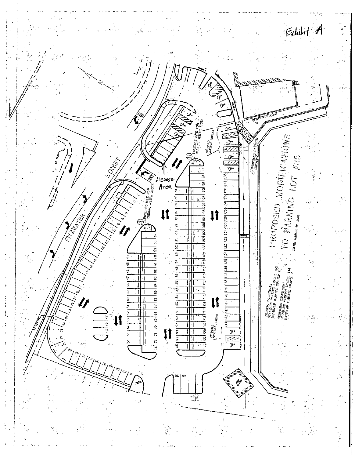